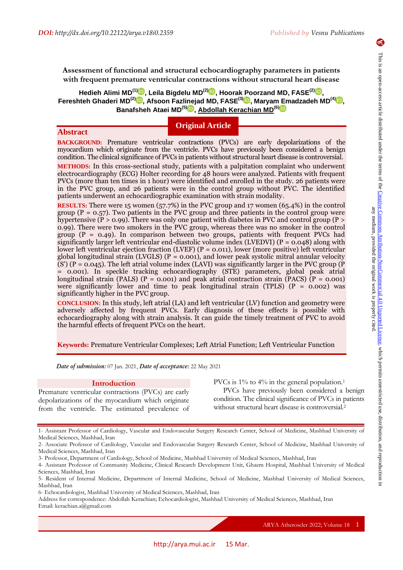**Abstract**

**Assessment of functional and structural echocardiography parameters in patients with frequent premature ventricular contractions without structural heart disease**

**Hedieh Alimi MD(1[\)](https://orcid.org/0000-0002-8826-2675) , Leila Bigdelu MD(2[\)](https://orcid.org/0000-0002-9372-781X) , Hoorak Poorzand MD, FASE(2[\)](https://orcid.org/0000-0002-0764-6563) , Fereshteh Ghaderi MD(2) , Afsoon Fazlinejad MD, FASE(3) , Maryam Emadzadeh MD(4[\)](https://orcid.org/0000-0002-1526-3765) , Banafsheh Ataei MD(5) , Abdollah Kerachian MD(6)**

# **Original Article**

**BACKGROUND:** Premature ventricular contractions (PVCs) are early depolarizations of the myocardium which originate from the ventricle. PVCs have previously been considered a benign condition. The clinical significance of PVCs in patients without structural heart disease is controversial.

**METHODS:** In this cross-sectional study, patients with a palpitation complaint who underwent electrocardiography (ECG) Holter recording for 48 hours were analyzed. Patients with frequent PVCs (more than ten times in 1 hour) were identified and enrolled in the study. 26 patients were in the PVC group, and 26 patients were in the control group without PVC. The identified patients underwent an echocardiographic examination with strain modality.

**RESULTS:** There were 15 women (57.7%) in the PVC group and 17 women (65.4%) in the control group ( $P = 0.57$ ). Two patients in the PVC group and three patients in the control group were hypertensive (P > 0.99). There was only one patient with diabetes in PVC and control group (P > 0.99). There were two smokers in the PVC group, whereas there was no smoker in the control group  $(P = 0.49)$ . In comparison between two groups, patients with frequent PVCs had significantly larger left ventricular end-diastolic volume index (LVEDVI) ( $P = 0.048$ ) along with lower left ventricular ejection fraction (LVEF) (P = 0.011), lower (more positive) left ventricular global longitudinal strain (LVGLS) ( $P = 0.001$ ), and lower peak systolic mitral annular velocity  $(S')$  (P = 0.045). The left atrial volume index (LAVI) was significantly larger in the PVC group (P = 0.001). In speckle tracking echocardiography (STE) parameters, global peak atrial longitudinal strain (PALS) (P =  $0.001$ ) and peak atrial contraction strain (PACS) (P =  $0.001$ ) were significantly lower and time to peak longitudinal strain (TPLS) ( $P = 0.002$ ) was significantly higher in the PVC group.

**CONCLUSION:** In this study, left atrial (LA) and left ventricular (LV) function and geometry were adversely affected by frequent PVCs. Early diagnosis of these effects is possible with echocardiography along with strain analysis. It can guide the timely treatment of PVC to avoid the harmful effects of frequent PVCs on the heart.

**Keywords:** Premature Ventricular Complexes; Left Atrial Function; Left Ventricular Function

*Date of submission:* 07 Jan. 2021, *Date of acceptance:* 22 May 2021

#### **Introduction**

Premature ventricular contractions (PVCs) are early depolarizations of the myocardium which originate from the ventricle. The estimated prevalence of PVCs is 1% to 4% in the general population.<sup>1</sup>

PVCs have previously been considered a benign condition. The clinical significance of PVCs in patients without structural heart disease is controversial.<sup>2</sup>

Address for correspondence: Abdollah Kerachian; Echocardiologist, Mashhad University of Medical Sciences, Mashhad, Iran Email: kerachian.a@gmail.com

<sup>1-</sup> Assistant Professor of Cardiology, Vascular and Endovascular Surgery Research Center, School of Medicine, Mashhad University of Medical Sciences, Mashhad, Iran

<sup>2-</sup> Associate Professor of Cardiology, Vascular and Endovascular Surgery Research Center, School of Medicine, Mashhad University of Medical Sciences, Mashhad, Iran

<sup>3-</sup> Professor, Department of Cardiology, School of Medicine, Mashhad University of Medical Sciences, Mashhad, Iran

<sup>4-</sup> Assistant Professor of Community Medicine, Clinical Research Development Unit, Ghaem Hospital, Mashhad University of Medical Sciences, Mashhad, Iran

<sup>5-</sup> Resident of Internal Medicine, Department of Internal Medicine, School of Medicine, Mashhad University of Medical Sciences, Mashhad, Iran

<sup>6-</sup> Echocardiologist, Mashhad University of Medical Sciences, Mashhad, Iran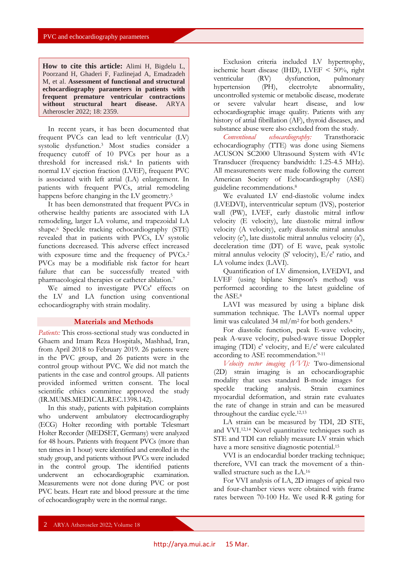**How to cite this article:** Alimi H, Bigdelu L, Poorzand H, Ghaderi F, Fazlinejad A, Emadzadeh M, et al. **Assessment of functional and structural echocardiography parameters in patients with frequent premature ventricular contractions without structural heart disease.** ARYA Atheroscler 2022; 18: 2359.

In recent years, it has been documented that frequent PVCs can lead to left ventricular (LV) systolic dysfunction.<sup>3</sup> Most studies consider a frequency cutoff of 10 PVCs per hour as a threshold for increased risk.<sup>4</sup> In patients with normal LV ejection fraction (LVEF), frequent PVC is associated with left atrial (LA) enlargement. In patients with frequent PVCs, atrial remodeling happens before changing in the LV geometry.<sup>5</sup>

It has been demonstrated that frequent PVCs in otherwise healthy patients are associated with LA remodeling, larger LA volume, and trapezoidal LA shape.<sup>6</sup> Speckle tracking echocardiography (STE) revealed that in patients with PVCs, LV systolic functions decreased. This adverse effect increased with exposure time and the frequency of PVCs.<sup>2</sup> PVCs may be a modifiable risk factor for heart failure that can be successfully treated with pharmacological therapies or catheter ablation.<sup>7</sup>

We aimed to investigate PVCs' effects on the LV and LA function using conventional echocardiography with strain modality.

#### **Materials and Methods**

*Patients:* This cross-sectional study was conducted in Ghaem and Imam Reza Hospitals, Mashhad, Iran, from April 2018 to February 2019. 26 patients were in the PVC group, and 26 patients were in the control group without PVC. We did not match the patients in the case and control groups. All patients provided informed written consent. The local scientific ethics committee approved the study (IR.MUMS.MEDICAL.REC.1398.142).

In this study, patients with palpitation complaints who underwent ambulatory electrocardiography (ECG) Holter recording with portable Telesmart Holter Recorder (MEDSET, Germany) were analyzed for 48 hours. Patients with frequent PVCs (more than ten times in 1 hour) were identified and enrolled in the study group, and patients without PVCs were included in the control group. The identified patients underwent an echocardiographic examination. Measurements were not done during PVC or post PVC beats. Heart rate and blood pressure at the time of echocardiography were in the normal range.

Exclusion criteria included LV hypertrophy, ischemic heart disease (IHD), LVEF < 50%, right ventricular (RV) dysfunction, pulmonary hypertension (PH), electrolyte abnormality, uncontrolled systemic or metabolic disease, moderate or severe valvular heart disease, and low echocardiographic image quality. Patients with any history of atrial fibrillation (AF), thyroid diseases, and substance abuse were also excluded from the study.

*Conventional echocardiography:* Transthoracic echocardiography (TTE) was done using Siemens ACUSON SC2000 Ultrasound System with 4V1c Transducer (frequency bandwidth: 1.25-4.5 MHz). All measurements were made following the current American Society of Echocardiography (ASE) guideline recommendations.<sup>8</sup>

We evaluated LV end-diastolic volume index (LVEDVI), interventricular septum (IVS), posterior wall (PW), LVEF, early diastolic mitral inflow velocity (E velocity), late diastolic mitral inflow velocity (A velocity), early diastolic mitral annulus velocity (e'), late diastolic mitral annulus velocity (a'), deceleration time (DT) of E wave, peak systolic mitral annulus velocity (S' velocity), E/e' ratio, and LA volume index (LAVI).

Quantification of LV dimension, LVEDVI, and LVEF (using biplane Simpson's method) was performed according to the latest guideline of the ASE.<sup>8</sup>

LAVI was measured by using a biplane disk summation technique. The LAVI's normal upper limit was calculated 34 ml/m2 for both genders.<sup>8</sup>

For diastolic function, peak E-wave velocity, peak A-wave velocity, pulsed-wave tissue Doppler imaging (TDI) e' velocity, and E/e' were calculated according to ASE recommendation.<sup>9-11</sup>

*Velocity vector imaging (VVI):* Two-dimensional (2D) strain imaging is an echocardiographic modality that uses standard B-mode images for speckle tracking analysis. Strain examines myocardial deformation, and strain rate evaluates the rate of change in strain and can be measured throughout the cardiac cycle.12,13

LA strain can be measured by TDI, 2D STE, and VVI.12,14 Novel quantitative techniques such as STE and TDI can reliably measure LV strain which have a more sensitive diagnostic potential.<sup>15</sup>

VVI is an endocardial border tracking technique; therefore, VVI can track the movement of a thinwalled structure such as the LA.<sup>16</sup>

For VVI analysis of LA, 2D images of apical two and four-chamber views were obtained with frame rates between 70-100 Hz. We used R-R gating for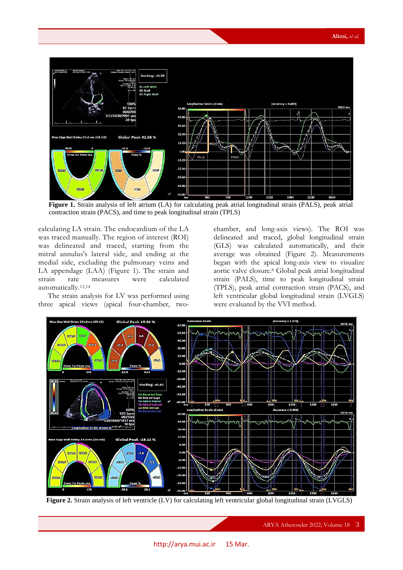

**Figure 1.** Strain analysis of left atrium (LA) for calculating peak atrial longitudinal strain (PALS), peak atrial contraction strain (PACS), and time to peak longitudinal strain (TPLS)

calculating LA strain. The endocardium of the LA was traced manually. The region of interest (ROI) was delineated and traced, starting from the mitral annulus's lateral side, and ending at the medial side, excluding the pulmonary veins and LA appendage (LAA) (Figure 1). The strain and strain rate measures were calculated automatically.12,14

The strain analysis for LV was performed using three apical views (apical four-chamber, two-

chamber, and long-axis views). The ROI was delineated and traced, global longitudinal strain (GLS) was calculated automatically, and their average was obtained (Figure 2). Measurements began with the apical long-axis view to visualize aortic valve closure.<sup>8</sup> Global peak atrial longitudinal strain (PALS), time to peak longitudinal strain (TPLS), peak atrial contraction strain (PACS), and left ventricular global longitudinal strain (LVGLS) were evaluated by the VVI method.



**Figure 2.** Strain analysis of left ventricle (LV) for calculating left ventricular global longitudinal strain (LVGLS)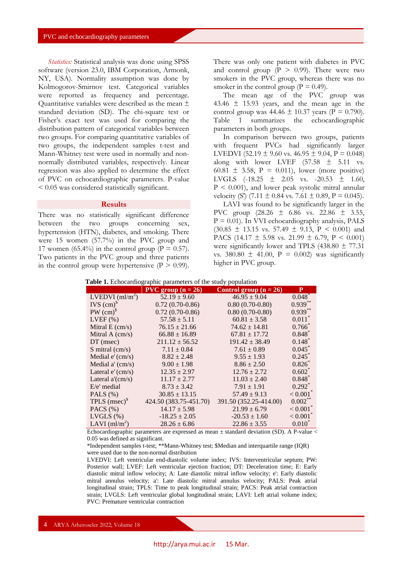*Statistics:* Statistical analysis was done using SPSS software (version 23.0, IBM Corporation, Armonk, NY, USA). Normality assumption was done by Kolmogorov-Smirnov test. Categorical variables were reported as frequency and percentage. Quantitative variables were described as the mean ± standard deviation (SD). The chi-square test or Fisher's exact test was used for comparing the distribution pattern of categorical variables between two groups. For comparing quantitative variables of two groups, the independent samples t-test and Mann-Whitney test were used in normally and nonnormally distributed variables, respectively. Linear regression was also applied to determine the effect of PVC on echocardiographic parameters. P-value < 0.05 was considered statistically significant.

# **Results**

There was no statistically significant difference between the two groups concerning sex, hypertension (HTN), diabetes, and smoking. There were 15 women (57.7%) in the PVC group and 17 women (65.4%) in the control group ( $P = 0.57$ ). Two patients in the PVC group and three patients in the control group were hypertensive  $(P > 0.99)$ . There was only one patient with diabetes in PVC and control group ( $P > 0.99$ ). There were two smokers in the PVC group, whereas there was no smoker in the control group ( $P = 0.49$ ).

The mean age of the PVC group was 43.46  $\pm$  15.93 years, and the mean age in the control group was  $44.46 \pm 10.37$  years (P = 0.790). Table 1 summarizes the echocardiographic parameters in both groups.

In comparison between two groups, patients with frequent PVCs had significantly larger LVEDVI (52.19  $\pm$  9.60 vs. 46.95  $\pm$  9.04, P = 0.048) along with lower LVEF  $(57.58 \pm 5.11 \text{ vs.}$ 60.81  $\pm$  3.58, P = 0.011), lower (more positive) LVGLS  $(-18.25 \pm 2.05 \text{ vs. } -20.53 \pm 1.60)$  $P < 0.001$ ), and lower peak systolic mitral annular velocity (S') (7.11  $\pm$  0.84 vs. 7.61  $\pm$  0.89, P = 0.045).

LAVI was found to be significantly larger in the PVC group (28.26 ± 6.86 vs. 22.86 ± 3.55,  $P = 0.01$ ). In VVI echocardiography analysis, PALS  $(30.85 \pm 13.15 \text{ vs. } 57.49 \pm 9.13, \text{ P} < 0.001)$  and PACS (14.17  $\pm$  5.98 vs. 21.99  $\pm$  6.79, P < 0.001) were significantly lower and TPLS  $(438.80 \pm 77.31)$ vs. 380.80  $\pm$  41.00, P = 0.002) was significantly higher in PVC group.

**Table 1.** Echocardiographic parameters of the study population

|                                            | PVC group $(n = 26)$   | Control group $(n = 26)$                 | P                      |
|--------------------------------------------|------------------------|------------------------------------------|------------------------|
| LVEDVI $(ml/m2)$                           | $52.19 \pm 9.60$       | $46.95 \pm 9.04$                         | $0.048*$               |
| $IVS$ (cm) <sup>\$</sup>                   | $0.72(0.70-0.86)$      | $0.80(0.70-0.80)$                        | $0.939**$              |
| $PW$ (cm) <sup><math>\text{S}</math></sup> | $0.72(0.70-0.86)$      | $0.80(0.70-0.80)$                        | $0.939**$              |
| $LVEF$ $(\%)$                              | $57.58 \pm 5.11$       | $60.81 \pm 3.58$                         | $0.011$ *              |
| Mitral $E \text{ (cm/s)}$                  | $76.15 \pm 21.66$      | $74.62 \pm 14.81$                        | $0.766*$               |
| Mitral $A$ (cm/s)                          | $66.88 \pm 16.89$      | $67.81 \pm 17.72$                        | $0.848^{*}$            |
| $DT$ (msec)                                | $211.12 \pm 56.52$     | $191.42 \pm 38.49$                       | 0.148                  |
| S mitral $\text{(cm/s)}$                   | $7.11 \pm 0.84$        | $7.61 \pm 0.89$                          | 0.045                  |
| Medial $e'(cm/s)$                          | $8.82 \pm 2.48$        | $9.55 \pm 1.93$                          | 0.245                  |
| Medial $a'$ (cm/s)                         | $9.00 \pm 1.98$        | $8.86 \pm 2.50$                          | $0.826^{*}$            |
| Lateral $e'(cm/s)$                         | $12.35 \pm 2.97$       | $12.76 \pm 2.72$                         | $0.602*$               |
| Lateral a'(cm/s)                           | $11.17 \pm 2.77$       | $11.03 \pm 2.40$                         | $0.848*$               |
| $E/e'$ medial                              | $8.73 \pm 3.42$        | $7.91 \pm 1.91$                          | $0.292$ <sup>*</sup>   |
| PALS $(%)$                                 | $30.85 \pm 13.15$      | $57.49 \pm 9.13$                         | $< 0.001$ <sup>*</sup> |
| TPLS $(msec)^{5}$                          | 424.50 (383.75-451.70) | 391.50 (352.25-414.00)                   | $0.002***$             |
| PACS $(\%)$                                | $14.17 \pm 5.98$       | $21.99 \pm 6.79$                         | $< 0.001$ <sup>*</sup> |
| $LVGLS$ $%$                                | $-18.25 \pm 2.05$      | $-20.53 \pm 1.60$                        | $< 0.001$ <sup>*</sup> |
| LAVI $(ml/m^2)$                            | $28.26 \pm 6.86$       | $22.86 \pm 3.55$                         | $0.010^{r}$            |
| $\sim$ $\sim$                              |                        | $\cdot$<br>(0, 1)<br>$1 \quad 1 \quad 1$ |                        |

Echocardiographic parameters are expressed as mean  $\pm$  standard deviation (SD). A P-value  $\lt$ 0.05 was defined as significant.

\*Independent samples t-test; \*\*Mann-Whitney test; \$Median and interquartile range (IQR) were used due to the non-normal distribution

LVEDVI: Left ventricular end-diastolic volume index; IVS: Interventricular septum; PW: Posterior wall; LVEF: Left ventricular ejection fraction; DT: Deceleration time; E: Early diastolic mitral inflow velocity; A: Late diastolic mitral inflow velocity; e': Early diastolic mitral annulus velocity; a': Late diastolic mitral annulus velocity; PALS: Peak atrial longitudinal strain; TPLS: Time to peak longitudinal strain; PACS: Peak atrial contraction strain; LVGLS: Left ventricular global longitudinal strain; LAVI: Left atrial volume index; PVC: Premature ventricular contraction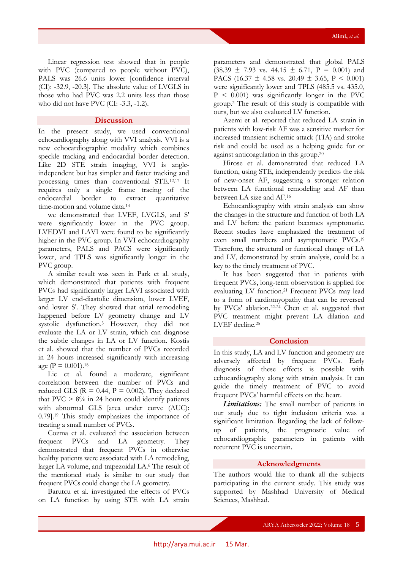Linear regression test showed that in people with PVC (compared to people without PVC), PALS was 26.6 units lower [confidence interval (CI): -32.9, -20.3]. The absolute value of LVGLS in those who had PVC was 2.2 units less than those who did not have PVC (CI: -3.3, -1.2).

## **Discussion**

In the present study, we used conventional echocardiography along with VVI analysis. VVI is a new echocardiographic modality which combines speckle tracking and endocardial border detection. Like 2D STE strain imaging, VVI is angleindependent but has simpler and faster tracking and processing times than conventional STE.12,17 It requires only a single frame tracing of the<br>endocardial border to extract quantitative quantitative time-motion and volume data.<sup>14</sup>

we demonstrated that LVEF, LVGLS, and S' were significantly lower in the PVC group. LVEDVI and LAVI were found to be significantly higher in the PVC group. In VVI echocardiography parameters, PALS and PACS were significantly lower, and TPLS was significantly longer in the PVC group.

A similar result was seen in Park et al. study, which demonstrated that patients with frequent PVCs had significantly larger LAVI associated with larger LV end-diastolic dimension, lower LVEF, and lower S'. They showed that atrial remodeling happened before LV geometry change and LV systolic dysfunction.<sup>5</sup> However, they did not evaluate the LA or LV strain, which can diagnose the subtle changes in LA or LV function. Kostis et al. showed that the number of PVCs recorded in 24 hours increased significantly with increasing age  $(P = 0.001)$ .<sup>18</sup>

Lie et al. found a moderate, significant correlation between the number of PVCs and reduced GLS ( $R = 0.44$ ,  $P = 0.002$ ). They declared that  $PVC > 8\%$  in 24 hours could identify patients with abnormal GLS [area under curve (AUC): 0.79].<sup>19</sup> This study emphasizes the importance of treating a small number of PVCs.

Cozma et al. evaluated the association between<br>quent PVCs and LA geometry. They frequent PVCs and LA geometry. They demonstrated that frequent PVCs in otherwise healthy patients were associated with LA remodeling, larger LA volume, and trapezoidal LA.<sup>6</sup> The result of the mentioned study is similar to our study that frequent PVCs could change the LA geometry.

Barutcu et al. investigated the effects of PVCs on LA function by using STE with LA strain parameters and demonstrated that global PALS  $(38.39 \pm 7.93 \text{ vs. } 44.15 \pm 6.71, \text{ P} = 0.001)$  and PACS (16.37  $\pm$  4.58 vs. 20.49  $\pm$  3.65, P < 0.001) were significantly lower and TPLS (485.5 vs. 435.0, P < 0.001) was significantly longer in the PVC group.<sup>2</sup> The result of this study is compatible with ours, but we also evaluated LV function.

Azemi et al. reported that reduced LA strain in patients with low-risk AF was a sensitive marker for increased transient ischemic attack (TIA) and stroke risk and could be used as a helping guide for or against anticoagulation in this group.<sup>20</sup>

Hirose et al. demonstrated that reduced LA function, using STE, independently predicts the risk of new-onset AF, suggesting a stronger relation between LA functional remodeling and AF than between LA size and AF.<sup>16</sup>

Echocardiography with strain analysis can show the changes in the structure and function of both LA and LV before the patient becomes symptomatic. Recent studies have emphasized the treatment of even small numbers and asymptomatic PVCs.<sup>19</sup> Therefore, the structural or functional change of LA and LV, demonstrated by strain analysis, could be a key to the timely treatment of PVC.

It has been suggested that in patients with frequent PVCs, long-term observation is applied for evaluating LV function.<sup>21</sup> Frequent PVCs may lead to a form of cardiomyopathy that can be reversed by PVCs' ablation.22-24 Chen et al. suggested that PVC treatment might prevent LA dilation and LVEF decline.<sup>25</sup>

## **Conclusion**

In this study, LA and LV function and geometry are adversely affected by frequent PVCs. Early diagnosis of these effects is possible with echocardiography along with strain analysis. It can guide the timely treatment of PVC to avoid frequent PVCs' harmful effects on the heart.

*Limitations:* The small number of patients in our study due to tight inclusion criteria was a significant limitation. Regarding the lack of followup of patients, the prognostic value of echocardiographic parameters in patients with recurrent PVC is uncertain.

# **Acknowledgments**

The authors would like to thank all the subjects participating in the current study. This study was supported by Mashhad University of Medical Sciences, Mashhad.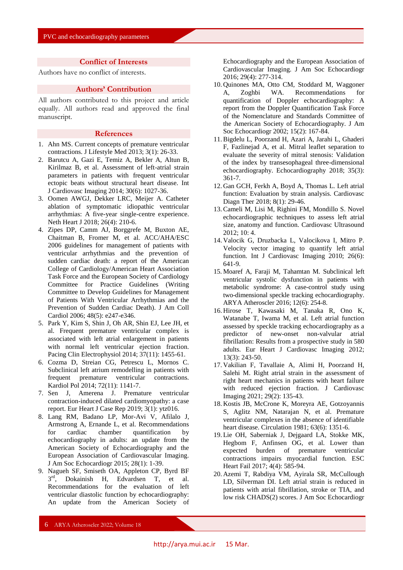### **Conflict of Interests**

Authors have no conflict of interests.

## **Authors' Contribution**

All authors contributed to this project and article equally. All authors read and approved the final manuscript.

#### **References**

- 1. Ahn MS. Current concepts of premature ventricular contractions. J Lifestyle Med 2013; 3(1): 26-33.
- 2. Barutcu A, Gazi E, Temiz A, Bekler A, Altun B, Kirilmaz B, et al. Assessment of left-atrial strain parameters in patients with frequent ventricular ectopic beats without structural heart disease. Int J Cardiovasc Imaging 2014; 30(6): 1027-36.
- 3. Oomen AWGJ, Dekker LRC, Meijer A. Catheter ablation of symptomatic idiopathic ventricular arrhythmias: A five-year single-centre experience. Neth Heart J 2018; 26(4): 210-6.
- 4. Zipes DP, Camm AJ, Borggrefe M, Buxton AE, Chaitman B, Fromer M, et al. ACC/AHA/ESC 2006 guidelines for management of patients with ventricular arrhythmias and the prevention of sudden cardiac death: a report of the American College of Cardiology/American Heart Association Task Force and the European Society of Cardiology Committee for Practice Guidelines (Writing Committee to Develop Guidelines for Management of Patients With Ventricular Arrhythmias and the Prevention of Sudden Cardiac Death). J Am Coll Cardiol 2006; 48(5): e247-e346.
- 5. Park Y, Kim S, Shin J, Oh AR, Shin EJ, Lee JH, et al. Frequent premature ventricular complex is associated with left atrial enlargement in patients with normal left ventricular ejection fraction. Pacing Clin Electrophysiol 2014; 37(11): 1455-61.
- 6. Cozma D, Streian CG, Petrescu L, Mornos C. Subclinical left atrium remodelling in patients with frequent premature ventricular contractions. Kardiol Pol 2014; 72(11): 1141-7.
- 7. Sen J, Amerena J. Premature ventricular contraction-induced dilated cardiomyopathy: a case report. Eur Heart J Case Rep 2019; 3(1): ytz016.
- 8. Lang RM, Badano LP, Mor-Avi V, Afilalo J, Armstrong A, Ernande L, et al. Recommendations for cardiac chamber quantification by echocardiography in adults: an update from the American Society of Echocardiography and the European Association of Cardiovascular Imaging. J Am Soc Echocardiogr 2015; 28(1): 1-39.
- 9. Nagueh SF, Smiseth OA, Appleton CP, Byrd BF 3<sup>rd</sup>, Dokainish H, Edvardsen T, et al. Recommendations for the evaluation of left ventricular diastolic function by echocardiography: An update from the American Society of

Echocardiography and the European Association of Cardiovascular Imaging. J Am Soc Echocardiogr 2016; 29(4): 277-314.

- 10. Quinones MA, Otto CM, Stoddard M, Waggoner A, Zoghbi WA. Recommendations for quantification of Doppler echocardiography: A report from the Doppler Quantification Task Force of the Nomenclature and Standards Committee of the American Society of Echocardiography. J Am Soc Echocardiogr 2002; 15(2): 167-84.
- 11.Bigdelu L, Poorzand H, Azari A, Jarahi L, Ghaderi F, Fazlinejad A, et al. Mitral leaflet separation to evaluate the severity of mitral stenosis: Validation of the index by transesophageal three-dimensional echocardiography. Echocardiography 2018; 35(3): 361-7.
- 12. Gan GCH, Ferkh A, Boyd A, Thomas L. Left atrial function: Evaluation by strain analysis. Cardiovasc Diagn Ther 2018; 8(1): 29-46.
- 13.Cameli M, Lisi M, Righini FM, Mondillo S. Novel echocardiographic techniques to assess left atrial size, anatomy and function. Cardiovasc Ultrasound 2012; 10: 4.
- 14. Valocik G, Druzbacka L, Valocikova I, Mitro P. Velocity vector imaging to quantify left atrial function. Int J Cardiovasc Imaging 2010; 26(6): 641-9.
- 15. Moaref A, Faraji M, Tahamtan M. Subclinical left ventricular systolic dysfunction in patients with metabolic syndrome: A case-control study using two-dimensional speckle tracking echocardiography. ARYA Atheroscler 2016; 12(6): 254-8.
- 16. Hirose T, Kawasaki M, Tanaka R, Ono K, Watanabe T, Iwama M, et al. Left atrial function assessed by speckle tracking echocardiography as a predictor of new-onset non-valvular atrial fibrillation: Results from a prospective study in 580 adults. Eur Heart J Cardiovasc Imaging 2012; 13(3): 243-50.
- 17. Vakilian F, Tavallaie A, Alimi H, Poorzand H, Salehi M. Right atrial strain in the assessment of right heart mechanics in patients with heart failure with reduced ejection fraction. J Cardiovasc Imaging 2021; 29(2): 135-43.
- 18. Kostis JB, McCrone K, Moreyra AE, Gotzoyannis S, Aglitz NM, Natarajan N, et al. Premature ventricular complexes in the absence of identifiable heart disease. Circulation 1981; 63(6): 1351-6.
- 19. Lie OH, Saberniak J, Dejgaard LA, Stokke MK, Hegbom F, Anfinsen OG, et al. Lower than expected burden of premature ventricular contractions impairs myocardial function. ESC Heart Fail 2017; 4(4): 585-94.
- 20. Azemi T, Rabdiya VM, Ayirala SR, McCullough LD, Silverman DI. Left atrial strain is reduced in patients with atrial fibrillation, stroke or TIA, and low risk CHADS(2) scores. J Am Soc Echocardiogr

6 ARYA Atheroscler 2022; Volume 18